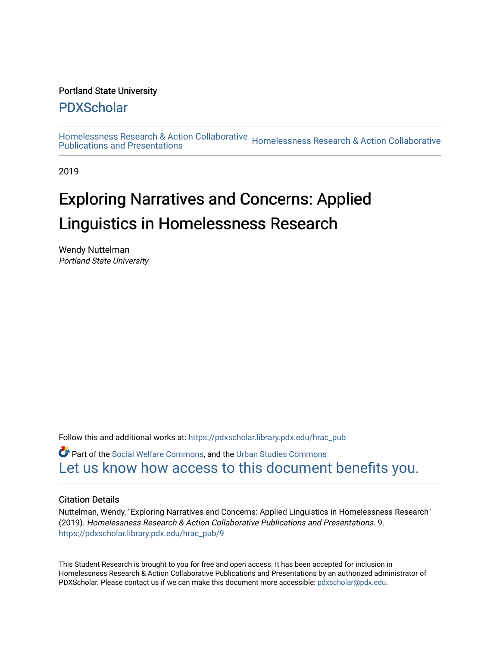## Portland State University

# [PDXScholar](https://pdxscholar.library.pdx.edu/)

[Homelessness Research & Action Collaborative](https://pdxscholar.library.pdx.edu/hrac_pub) Homelessness Research & Action Collaborative<br>Publications and Presentations

2019

# Exploring Narratives and Concerns: Applied Linguistics in Homelessness Research

Wendy Nuttelman Portland State University

Follow this and additional works at: [https://pdxscholar.library.pdx.edu/hrac\\_pub](https://pdxscholar.library.pdx.edu/hrac_pub?utm_source=pdxscholar.library.pdx.edu%2Fhrac_pub%2F9&utm_medium=PDF&utm_campaign=PDFCoverPages) 

Part of the [Social Welfare Commons](http://network.bepress.com/hgg/discipline/401?utm_source=pdxscholar.library.pdx.edu%2Fhrac_pub%2F9&utm_medium=PDF&utm_campaign=PDFCoverPages), and the [Urban Studies Commons](http://network.bepress.com/hgg/discipline/402?utm_source=pdxscholar.library.pdx.edu%2Fhrac_pub%2F9&utm_medium=PDF&utm_campaign=PDFCoverPages) [Let us know how access to this document benefits you.](http://library.pdx.edu/services/pdxscholar-services/pdxscholar-feedback/?ref=https://pdxscholar.library.pdx.edu/hrac_pub/9) 

## Citation Details

Nuttelman, Wendy, "Exploring Narratives and Concerns: Applied Linguistics in Homelessness Research" (2019). Homelessness Research & Action Collaborative Publications and Presentations. 9. [https://pdxscholar.library.pdx.edu/hrac\\_pub/9](https://pdxscholar.library.pdx.edu/hrac_pub/9?utm_source=pdxscholar.library.pdx.edu%2Fhrac_pub%2F9&utm_medium=PDF&utm_campaign=PDFCoverPages) 

This Student Research is brought to you for free and open access. It has been accepted for inclusion in Homelessness Research & Action Collaborative Publications and Presentations by an authorized administrator of PDXScholar. Please contact us if we can make this document more accessible: [pdxscholar@pdx.edu.](mailto:pdxscholar@pdx.edu)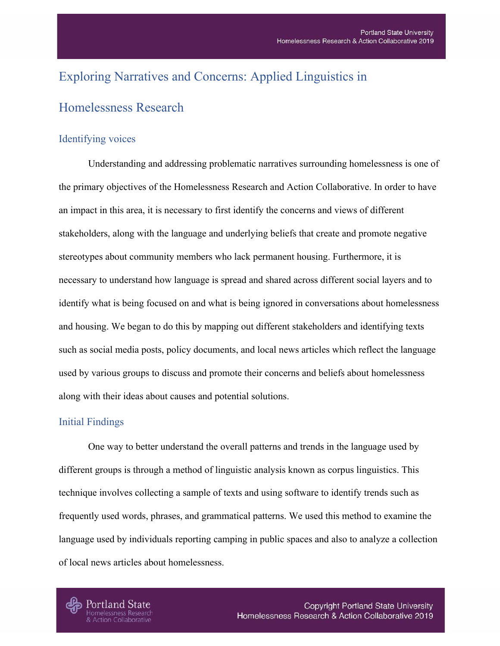# Exploring Narratives and Concerns: Applied Linguistics in

# Homelessness Research

## Identifying voices

Understanding and addressing problematic narratives surrounding homelessness is one of the primary objectives of the Homelessness Research and Action Collaborative. In order to have an impact in this area, it is necessary to first identify the concerns and views of different stakeholders, along with the language and underlying beliefs that create and promote negative stereotypes about community members who lack permanent housing. Furthermore, it is necessary to understand how language is spread and shared across different social layers and to identify what is being focused on and what is being ignored in conversations about homelessness and housing. We began to do this by mapping out different stakeholders and identifying texts such as social media posts, policy documents, and local news articles which reflect the language used by various groups to discuss and promote their concerns and beliefs about homelessness along with their ideas about causes and potential solutions.

## Initial Findings

One way to better understand the overall patterns and trends in the language used by different groups is through a method of linguistic analysis known as corpus linguistics. This technique involves collecting a sample of texts and using software to identify trends such as frequently used words, phrases, and grammatical patterns. We used this method to examine the language used by individuals reporting camping in public spaces and also to analyze a collection of local news articles about homelessness.

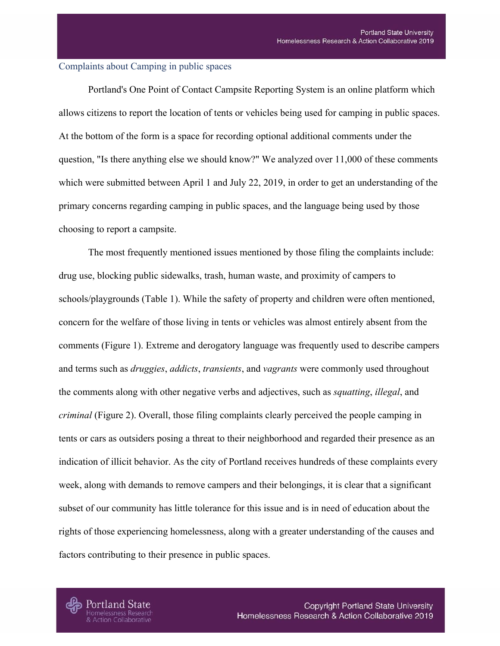#### Complaints about Camping in public spaces

Portland's One Point of Contact Campsite Reporting System is an online platform which allows citizens to report the location of tents or vehicles being used for camping in public spaces. At the bottom of the form is a space for recording optional additional comments under the question, "Is there anything else we should know?" We analyzed over 11,000 of these comments which were submitted between April 1 and July 22, 2019, in order to get an understanding of the primary concerns regarding camping in public spaces, and the language being used by those choosing to report a campsite.

The most frequently mentioned issues mentioned by those filing the complaints include: drug use, blocking public sidewalks, trash, human waste, and proximity of campers to schools/playgrounds (Table 1). While the safety of property and children were often mentioned, concern for the welfare of those living in tents or vehicles was almost entirely absent from the comments (Figure 1). Extreme and derogatory language was frequently used to describe campers and terms such as *druggies*, *addicts*, *transients*, and *vagrants* were commonly used throughout the comments along with other negative verbs and adjectives, such as *squatting*, *illegal*, and *criminal* (Figure 2). Overall, those filing complaints clearly perceived the people camping in tents or cars as outsiders posing a threat to their neighborhood and regarded their presence as an indication of illicit behavior. As the city of Portland receives hundreds of these complaints every week, along with demands to remove campers and their belongings, it is clear that a significant subset of our community has little tolerance for this issue and is in need of education about the rights of those experiencing homelessness, along with a greater understanding of the causes and factors contributing to their presence in public spaces.

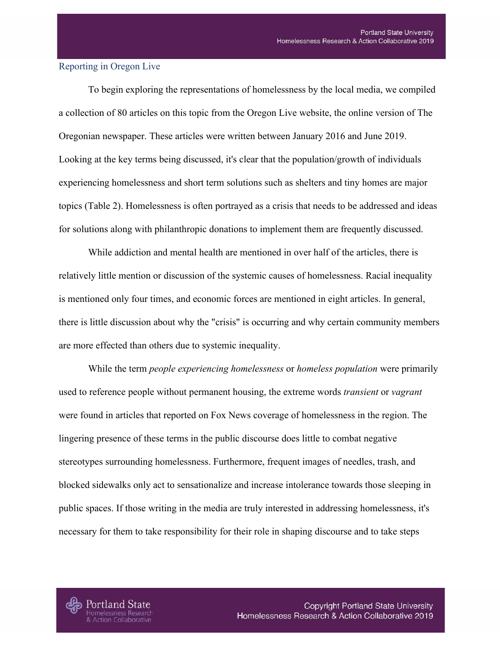## Reporting in Oregon Live

To begin exploring the representations of homelessness by the local media, we compiled a collection of 80 articles on this topic from the Oregon Live website, the online version of The Oregonian newspaper. These articles were written between January 2016 and June 2019. Looking at the key terms being discussed, it's clear that the population/growth of individuals experiencing homelessness and short term solutions such as shelters and tiny homes are major topics (Table 2). Homelessness is often portrayed as a crisis that needs to be addressed and ideas for solutions along with philanthropic donations to implement them are frequently discussed.

While addiction and mental health are mentioned in over half of the articles, there is relatively little mention or discussion of the systemic causes of homelessness. Racial inequality is mentioned only four times, and economic forces are mentioned in eight articles. In general, there is little discussion about why the "crisis" is occurring and why certain community members are more effected than others due to systemic inequality.

While the term *people experiencing homelessness* or *homeless population* were primarily used to reference people without permanent housing, the extreme words *transient* or *vagrant* were found in articles that reported on Fox News coverage of homelessness in the region. The lingering presence of these terms in the public discourse does little to combat negative stereotypes surrounding homelessness. Furthermore, frequent images of needles, trash, and blocked sidewalks only act to sensationalize and increase intolerance towards those sleeping in public spaces. If those writing in the media are truly interested in addressing homelessness, it's necessary for them to take responsibility for their role in shaping discourse and to take steps